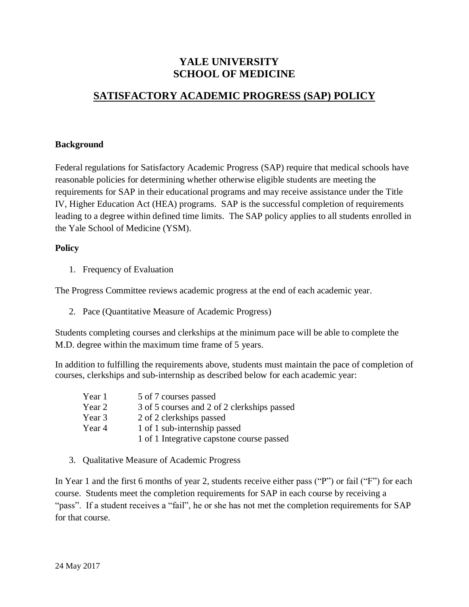## **YALE UNIVERSITY SCHOOL OF MEDICINE**

## **SATISFACTORY ACADEMIC PROGRESS (SAP) POLICY**

## **Background**

Federal regulations for Satisfactory Academic Progress (SAP) require that medical schools have reasonable policies for determining whether otherwise eligible students are meeting the requirements for SAP in their educational programs and may receive assistance under the Title IV, Higher Education Act (HEA) programs. SAP is the successful completion of requirements leading to a degree within defined time limits. The SAP policy applies to all students enrolled in the Yale School of Medicine (YSM).

## **Policy**

1. Frequency of Evaluation

The Progress Committee reviews academic progress at the end of each academic year.

2. Pace (Quantitative Measure of Academic Progress)

Students completing courses and clerkships at the minimum pace will be able to complete the M.D. degree within the maximum time frame of 5 years.

In addition to fulfilling the requirements above, students must maintain the pace of completion of courses, clerkships and sub-internship as described below for each academic year:

| Year 1 | 5 of 7 courses passed                       |
|--------|---------------------------------------------|
| Year 2 | 3 of 5 courses and 2 of 2 clerkships passed |
| Year 3 | 2 of 2 clerkships passed                    |
| Year 4 | 1 of 1 sub-internship passed                |
|        | 1 of 1 Integrative capstone course passed   |

3. Qualitative Measure of Academic Progress

In Year 1 and the first 6 months of year 2, students receive either pass ("P") or fail ("F") for each course. Students meet the completion requirements for SAP in each course by receiving a "pass". If a student receives a "fail", he or she has not met the completion requirements for SAP for that course.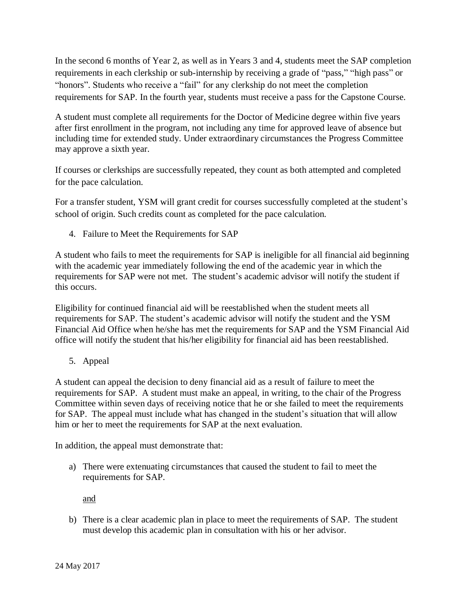In the second 6 months of Year 2, as well as in Years 3 and 4, students meet the SAP completion requirements in each clerkship or sub-internship by receiving a grade of "pass," "high pass" or "honors". Students who receive a "fail" for any clerkship do not meet the completion requirements for SAP. In the fourth year, students must receive a pass for the Capstone Course.

A student must complete all requirements for the Doctor of Medicine degree within five years after first enrollment in the program, not including any time for approved leave of absence but including time for extended study. Under extraordinary circumstances the Progress Committee may approve a sixth year.

If courses or clerkships are successfully repeated, they count as both attempted and completed for the pace calculation.

For a transfer student, YSM will grant credit for courses successfully completed at the student's school of origin. Such credits count as completed for the pace calculation.

4. Failure to Meet the Requirements for SAP

A student who fails to meet the requirements for SAP is ineligible for all financial aid beginning with the academic year immediately following the end of the academic year in which the requirements for SAP were not met. The student's academic advisor will notify the student if this occurs.

Eligibility for continued financial aid will be reestablished when the student meets all requirements for SAP. The student's academic advisor will notify the student and the YSM Financial Aid Office when he/she has met the requirements for SAP and the YSM Financial Aid office will notify the student that his/her eligibility for financial aid has been reestablished.

5. Appeal

A student can appeal the decision to deny financial aid as a result of failure to meet the requirements for SAP. A student must make an appeal, in writing, to the chair of the Progress Committee within seven days of receiving notice that he or she failed to meet the requirements for SAP. The appeal must include what has changed in the student's situation that will allow him or her to meet the requirements for SAP at the next evaluation.

In addition, the appeal must demonstrate that:

a) There were extenuating circumstances that caused the student to fail to meet the requirements for SAP.

and

b) There is a clear academic plan in place to meet the requirements of SAP. The student must develop this academic plan in consultation with his or her advisor.